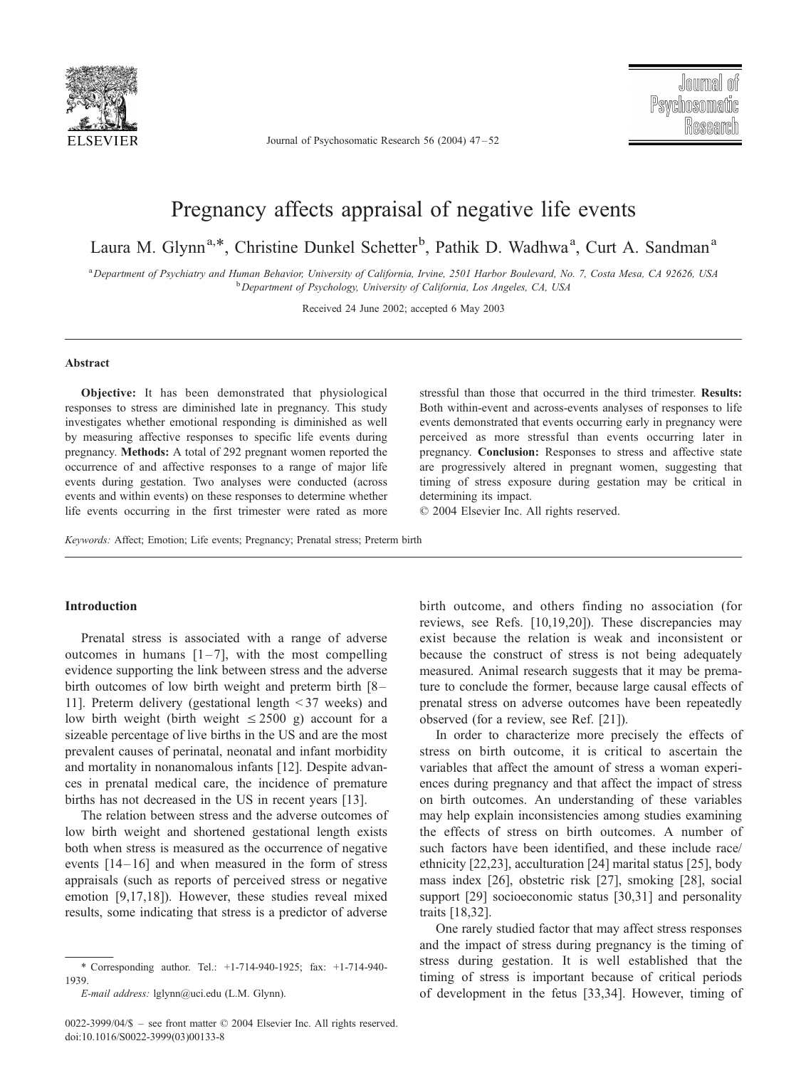

Journal of Psychosomatic Research 56 (2004) 47 – 52

# Pregnancy affects appraisal of negative life events

Laura M. Glynn<sup>a,\*</sup>, Christine Dunkel Schetter<sup>b</sup>, Pathik D. Wadhwa<sup>a</sup>, Curt A. Sandman<sup>a</sup>

<sup>a</sup> Department of Psychiatry and Human Behavior, University of California, Irvine, 2501 Harbor Boulevard, No. 7, Costa Mesa, CA 92626, USA<br><sup>b</sup> Department of Bayebology, University of California, Lee Angeles, CA, USA <sup>b</sup> Department of Psychology, University of California, Los Angeles, CA, USA

Received 24 June 2002; accepted 6 May 2003

#### Abstract

Objective: It has been demonstrated that physiological responses to stress are diminished late in pregnancy. This study investigates whether emotional responding is diminished as well by measuring affective responses to specific life events during pregnancy. Methods: A total of 292 pregnant women reported the occurrence of and affective responses to a range of major life events during gestation. Two analyses were conducted (across events and within events) on these responses to determine whether life events occurring in the first trimester were rated as more

Keywords: Affect; Emotion; Life events; Pregnancy; Prenatal stress; Preterm birth

#### Introduction

Prenatal stress is associated with a range of adverse outcomes in humans  $[1-7]$ , with the most compelling evidence supporting the link between stress and the adverse birth outcomes of low birth weight and preterm birth [8 – 11]. Preterm delivery (gestational length < 37 weeks) and low birth weight (birth weight  $\leq 2500$  g) account for a sizeable percentage of live births in the US and are the most prevalent causes of perinatal, neonatal and infant morbidity and mortality in nonanomalous infants [12]. Despite advances in prenatal medical care, the incidence of premature births has not decreased in the US in recent years [13].

The relation between stress and the adverse outcomes of low birth weight and shortened gestational length exists both when stress is measured as the occurrence of negative events  $[14-16]$  and when measured in the form of stress appraisals (such as reports of perceived stress or negative emotion [9,17,18]). However, these studies reveal mixed results, some indicating that stress is a predictor of adverse

\* Corresponding author. Tel.: +1-714-940-1925; fax: +1-714-940- 1939.

stressful than those that occurred in the third trimester. Results: Both within-event and across-events analyses of responses to life events demonstrated that events occurring early in pregnancy were perceived as more stressful than events occurring later in pregnancy. Conclusion: Responses to stress and affective state are progressively altered in pregnant women, suggesting that timing of stress exposure during gestation may be critical in determining its impact.

 $© 2004 Elsevier Inc. All rights reserved.$ 

birth outcome, and others finding no association (for reviews, see Refs. [10,19,20]). These discrepancies may exist because the relation is weak and inconsistent or because the construct of stress is not being adequately measured. Animal research suggests that it may be premature to conclude the former, because large causal effects of prenatal stress on adverse outcomes have been repeatedly observed (for a review, see Ref. [21]).

In order to characterize more precisely the effects of stress on birth outcome, it is critical to ascertain the variables that affect the amount of stress a woman experiences during pregnancy and that affect the impact of stress on birth outcomes. An understanding of these variables may help explain inconsistencies among studies examining the effects of stress on birth outcomes. A number of such factors have been identified, and these include race/ ethnicity [22,23], acculturation [24] marital status [25], body mass index [26], obstetric risk [27], smoking [28], social support [29] socioeconomic status [30,31] and personality traits [18,32].

One rarely studied factor that may affect stress responses and the impact of stress during pregnancy is the timing of stress during gestation. It is well established that the timing of stress is important because of critical periods of development in the fetus [33,34]. However, timing of

E-mail address: lglynn@uci.edu (L.M. Glynn).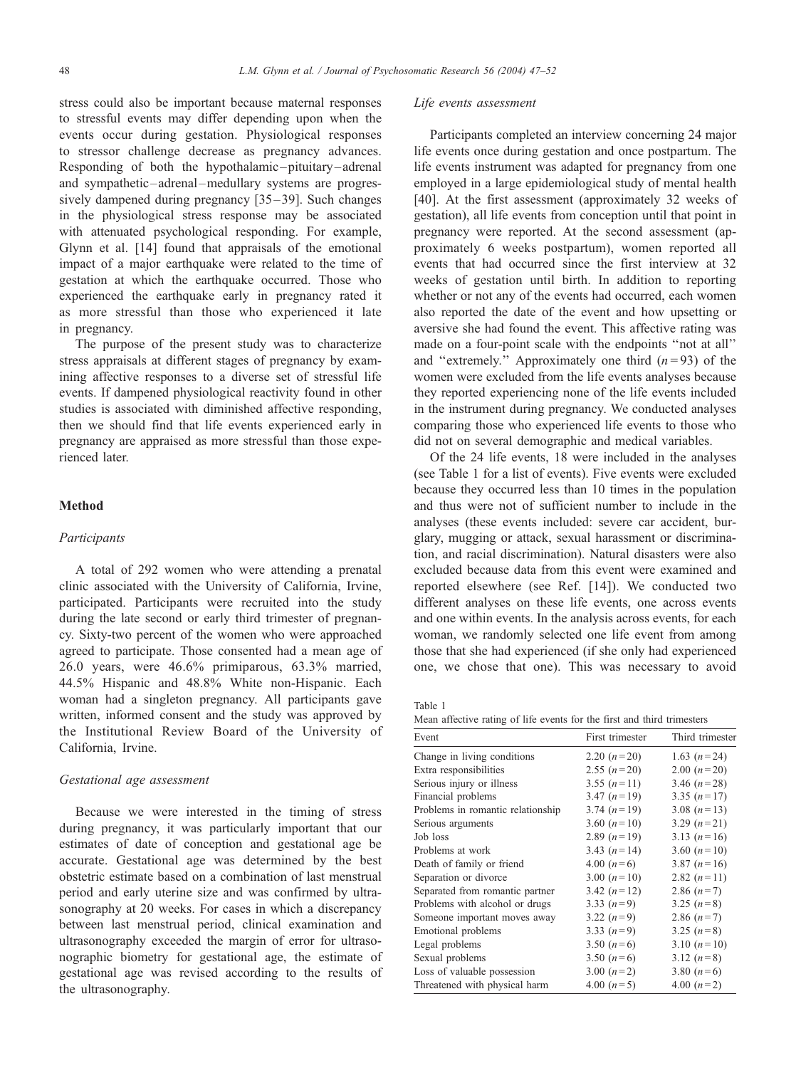stress could also be important because maternal responses to stressful events may differ depending upon when the events occur during gestation. Physiological responses to stressor challenge decrease as pregnancy advances. Responding of both the hypothalamic – pituitary–adrenal and sympathetic –adrenal –medullary systems are progressively dampened during pregnancy [35–39]. Such changes in the physiological stress response may be associated with attenuated psychological responding. For example, Glynn et al. [14] found that appraisals of the emotional impact of a major earthquake were related to the time of gestation at which the earthquake occurred. Those who experienced the earthquake early in pregnancy rated it as more stressful than those who experienced it late in pregnancy.

The purpose of the present study was to characterize stress appraisals at different stages of pregnancy by examining affective responses to a diverse set of stressful life events. If dampened physiological reactivity found in other studies is associated with diminished affective responding, then we should find that life events experienced early in pregnancy are appraised as more stressful than those experienced later.

#### Method

## Participants

A total of 292 women who were attending a prenatal clinic associated with the University of California, Irvine, participated. Participants were recruited into the study during the late second or early third trimester of pregnancy. Sixty-two percent of the women who were approached agreed to participate. Those consented had a mean age of 26.0 years, were 46.6% primiparous, 63.3% married, 44.5% Hispanic and 48.8% White non-Hispanic. Each woman had a singleton pregnancy. All participants gave written, informed consent and the study was approved by the Institutional Review Board of the University of California, Irvine.

### Gestational age assessment

Because we were interested in the timing of stress during pregnancy, it was particularly important that our estimates of date of conception and gestational age be accurate. Gestational age was determined by the best obstetric estimate based on a combination of last menstrual period and early uterine size and was confirmed by ultrasonography at 20 weeks. For cases in which a discrepancy between last menstrual period, clinical examination and ultrasonography exceeded the margin of error for ultrasonographic biometry for gestational age, the estimate of gestational age was revised according to the results of the ultrasonography.

## Life events assessment

Participants completed an interview concerning 24 major life events once during gestation and once postpartum. The life events instrument was adapted for pregnancy from one employed in a large epidemiological study of mental health [40]. At the first assessment (approximately 32 weeks of gestation), all life events from conception until that point in pregnancy were reported. At the second assessment (approximately 6 weeks postpartum), women reported all events that had occurred since the first interview at 32 weeks of gestation until birth. In addition to reporting whether or not any of the events had occurred, each women also reported the date of the event and how upsetting or aversive she had found the event. This affective rating was made on a four-point scale with the endpoints ''not at all'' and "extremely." Approximately one third  $(n=93)$  of the women were excluded from the life events analyses because they reported experiencing none of the life events included in the instrument during pregnancy. We conducted analyses comparing those who experienced life events to those who did not on several demographic and medical variables.

Of the 24 life events, 18 were included in the analyses (see Table 1 for a list of events). Five events were excluded because they occurred less than 10 times in the population and thus were not of sufficient number to include in the analyses (these events included: severe car accident, burglary, mugging or attack, sexual harassment or discrimination, and racial discrimination). Natural disasters were also excluded because data from this event were examined and reported elsewhere (see Ref. [14]). We conducted two different analyses on these life events, one across events and one within events. In the analysis across events, for each woman, we randomly selected one life event from among those that she had experienced (if she only had experienced one, we chose that one). This was necessary to avoid

| Tavit 1 |  |  |  |  |                                                                         |
|---------|--|--|--|--|-------------------------------------------------------------------------|
|         |  |  |  |  | Mean affective rating of life events for the first and third trimesters |

Table 1

| Event                             | First trimester | Third trimester |
|-----------------------------------|-----------------|-----------------|
| Change in living conditions       | 2.20 $(n=20)$   | 1.63 $(n=24)$   |
| Extra responsibilities            | 2.55 $(n=20)$   | 2.00 $(n=20)$   |
| Serious injury or illness         | 3.55 $(n=11)$   | 3.46 $(n=28)$   |
| Financial problems                | 3.47 $(n=19)$   | 3.35 $(n=17)$   |
| Problems in romantic relationship | 3.74 $(n=19)$   | 3.08 $(n=13)$   |
| Serious arguments                 | 3.60 $(n=10)$   | 3.29 $(n=21)$   |
| Job loss                          | 2.89 $(n=19)$   | 3.13 $(n=16)$   |
| Problems at work                  | 3.43 $(n=14)$   | 3.60 $(n=10)$   |
| Death of family or friend         | 4.00 $(n=6)$    | 3.87 $(n=16)$   |
| Separation or divorce             | 3.00 $(n=10)$   | 2.82 $(n=11)$   |
| Separated from romantic partner   | 3.42 $(n=12)$   | 2.86 $(n=7)$    |
| Problems with alcohol or drugs    | 3.33 $(n=9)$    | 3.25 $(n=8)$    |
| Someone important moves away      | 3.22 $(n=9)$    | 2.86 $(n=7)$    |
| Emotional problems                | 3.33 $(n=9)$    | 3.25 $(n=8)$    |
| Legal problems                    | 3.50 $(n=6)$    | 3.10 $(n=10)$   |
| Sexual problems                   | 3.50 $(n=6)$    | 3.12 $(n=8)$    |
| Loss of valuable possession       | 3.00 $(n=2)$    | 3.80 $(n=6)$    |
| Threatened with physical harm     | 4.00 $(n=5)$    | 4.00 $(n=2)$    |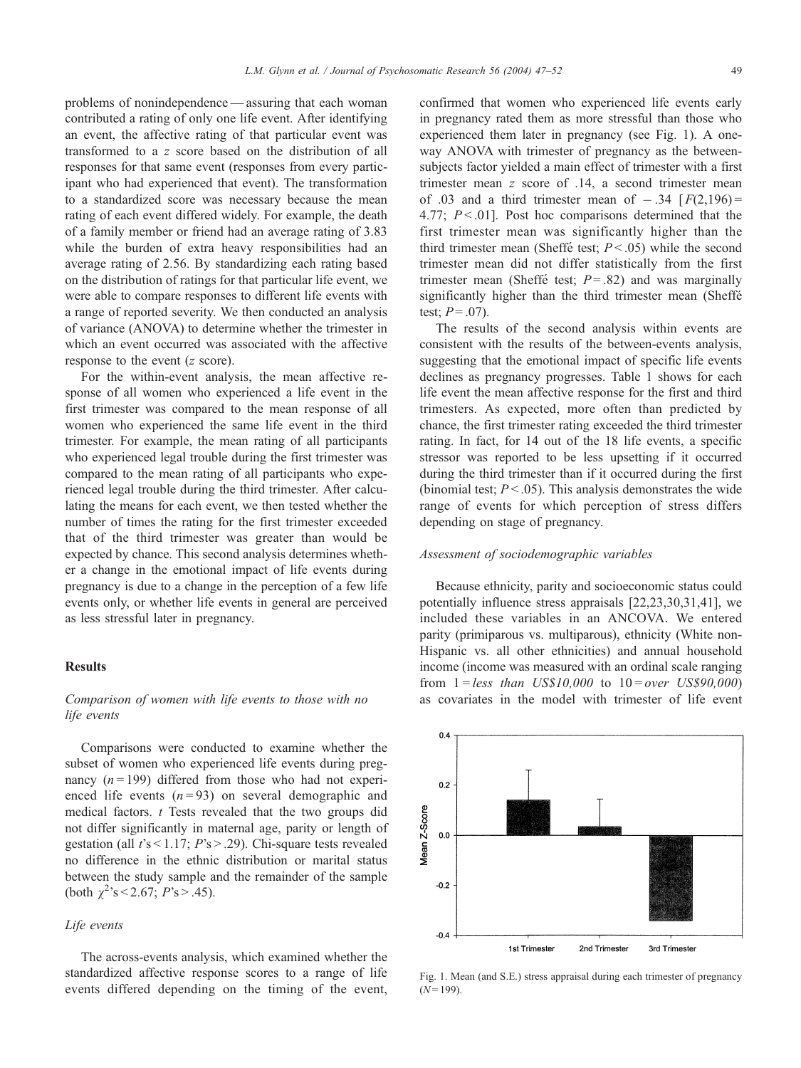problems of nonindependence — assuring that each woman contributed a rating of only one life event. After identifying an event, the affective rating of that particular event was transformed to a z score based on the distribution of all responses for that same event (responses from every participant who had experienced that event). The transformation to a standardized score was necessary because the mean rating of each event differed widely. For example, the death of a family member or friend had an average rating of 3.83 while the burden of extra heavy responsibilities had an average rating of 2.56. By standardizing each rating based on the distribution of ratings for that particular life event, we were able to compare responses to different life events with a range of reported severity. We then conducted an analysis of variance (ANOVA) to determine whether the trimester in which an event occurred was associated with the affective response to the event (z score).

For the within-event analysis, the mean affective response of all women who experienced a life event in the first trimester was compared to the mean response of all women who experienced the same life event in the third trimester. For example, the mean rating of all participants who experienced legal trouble during the first trimester was compared to the mean rating of all participants who experienced legal trouble during the third trimester. After calculating the means for each event, we then tested whether the number of times the rating for the first trimester exceeded that of the third trimester was greater than would be expected by chance. This second analysis determines whether a change in the emotional impact of life events during pregnancy is due to a change in the perception of a few life events only, or whether life events in general are perceived as less stressful later in pregnancy.

# Results

# Comparison of women with life events to those with no life events

Comparisons were conducted to examine whether the subset of women who experienced life events during pregnancy  $(n = 199)$  differed from those who had not experienced life events  $(n=93)$  on several demographic and medical factors.  $t$  Tests revealed that the two groups did not differ significantly in maternal age, parity or length of gestation (all  $t's < 1.17$ ;  $P's > .29$ ). Chi-square tests revealed no difference in the ethnic distribution or marital status between the study sample and the remainder of the sample (both  $\chi^2$ 's < 2.67;  $P$ 's > .45).

# Life events

The across-events analysis, which examined whether the standardized affective response scores to a range of life events differed depending on the timing of the event, confirmed that women who experienced life events early in pregnancy rated them as more stressful than those who experienced them later in pregnancy (see Fig. 1). A oneway ANOVA with trimester of pregnancy as the betweensubjects factor yielded a main effect of trimester with a first trimester mean z score of .14, a second trimester mean of .03 and a third trimester mean of  $-.34$  [ $F(2,196)$  = 4.77;  $P < 01$ ]. Post hoc comparisons determined that the first trimester mean was significantly higher than the third trimester mean (Sheffe´ test;  $P < .05$ ) while the second trimester mean did not differ statistically from the first trimester mean (Sheffé test;  $P = .82$ ) and was marginally significantly higher than the third trimester mean (Sheffé test;  $P = .07$ ).

The results of the second analysis within events are consistent with the results of the between-events analysis, suggesting that the emotional impact of specific life events declines as pregnancy progresses. Table 1 shows for each life event the mean affective response for the first and third trimesters. As expected, more often than predicted by chance, the first trimester rating exceeded the third trimester rating. In fact, for 14 out of the 18 life events, a specific stressor was reported to be less upsetting if it occurred during the third trimester than if it occurred during the first (binomial test;  $P < .05$ ). This analysis demonstrates the wide range of events for which perception of stress differs depending on stage of pregnancy.

#### Assessment of sociodemographic variables

Because ethnicity, parity and socioeconomic status could potentially influence stress appraisals [22,23,30,31,41], we included these variables in an ANCOVA. We entered parity (primiparous vs. multiparous), ethnicity (White non-Hispanic vs. all other ethnicities) and annual household income (income was measured with an ordinal scale ranging from  $1 = less than US$10,000 to 10 = over US$90,000$ as covariates in the model with trimester of life event



Fig. 1. Mean (and S.E.) stress appraisal during each trimester of pregnancy  $(N= 199)$ .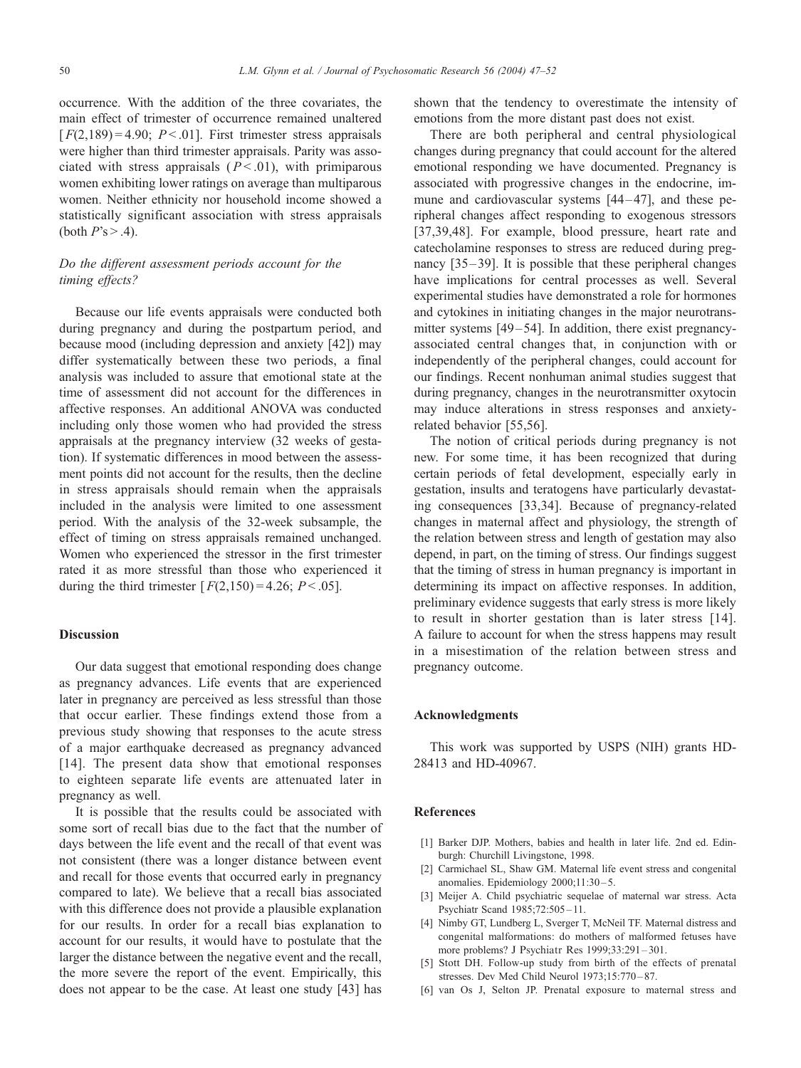occurrence. With the addition of the three covariates, the main effect of trimester of occurrence remained unaltered  $[F(2,189) = 4.90; P < .01]$ . First trimester stress appraisals were higher than third trimester appraisals. Parity was associated with stress appraisals  $(P < .01)$ , with primiparous women exhibiting lower ratings on average than multiparous women. Neither ethnicity nor household income showed a statistically significant association with stress appraisals (both  $P's > .4$ ).

# Do the different assessment periods account for the timing effects?

Because our life events appraisals were conducted both during pregnancy and during the postpartum period, and because mood (including depression and anxiety [42]) may differ systematically between these two periods, a final analysis was included to assure that emotional state at the time of assessment did not account for the differences in affective responses. An additional ANOVA was conducted including only those women who had provided the stress appraisals at the pregnancy interview (32 weeks of gestation). If systematic differences in mood between the assessment points did not account for the results, then the decline in stress appraisals should remain when the appraisals included in the analysis were limited to one assessment period. With the analysis of the 32-week subsample, the effect of timing on stress appraisals remained unchanged. Women who experienced the stressor in the first trimester rated it as more stressful than those who experienced it during the third trimester  $[F(2,150) = 4.26; P < .05]$ .

## **Discussion**

Our data suggest that emotional responding does change as pregnancy advances. Life events that are experienced later in pregnancy are perceived as less stressful than those that occur earlier. These findings extend those from a previous study showing that responses to the acute stress of a major earthquake decreased as pregnancy advanced [14]. The present data show that emotional responses to eighteen separate life events are attenuated later in pregnancy as well.

It is possible that the results could be associated with some sort of recall bias due to the fact that the number of days between the life event and the recall of that event was not consistent (there was a longer distance between event and recall for those events that occurred early in pregnancy compared to late). We believe that a recall bias associated with this difference does not provide a plausible explanation for our results. In order for a recall bias explanation to account for our results, it would have to postulate that the larger the distance between the negative event and the recall, the more severe the report of the event. Empirically, this does not appear to be the case. At least one study [43] has

shown that the tendency to overestimate the intensity of emotions from the more distant past does not exist.

There are both peripheral and central physiological changes during pregnancy that could account for the altered emotional responding we have documented. Pregnancy is associated with progressive changes in the endocrine, immune and cardiovascular systems [44 –47], and these peripheral changes affect responding to exogenous stressors [37,39,48]. For example, blood pressure, heart rate and catecholamine responses to stress are reduced during pregnancy [35–39]. It is possible that these peripheral changes have implications for central processes as well. Several experimental studies have demonstrated a role for hormones and cytokines in initiating changes in the major neurotransmitter systems [49–54]. In addition, there exist pregnancyassociated central changes that, in conjunction with or independently of the peripheral changes, could account for our findings. Recent nonhuman animal studies suggest that during pregnancy, changes in the neurotransmitter oxytocin may induce alterations in stress responses and anxietyrelated behavior [55,56].

The notion of critical periods during pregnancy is not new. For some time, it has been recognized that during certain periods of fetal development, especially early in gestation, insults and teratogens have particularly devastating consequences [33,34]. Because of pregnancy-related changes in maternal affect and physiology, the strength of the relation between stress and length of gestation may also depend, in part, on the timing of stress. Our findings suggest that the timing of stress in human pregnancy is important in determining its impact on affective responses. In addition, preliminary evidence suggests that early stress is more likely to result in shorter gestation than is later stress [14]. A failure to account for when the stress happens may result in a misestimation of the relation between stress and pregnancy outcome.

## Acknowledgments

This work was supported by USPS (NIH) grants HD-28413 and HD-40967.

## References

- [1] Barker DJP. Mothers, babies and health in later life. 2nd ed. Edinburgh: Churchill Livingstone, 1998.
- [2] Carmichael SL, Shaw GM. Maternal life event stress and congenital anomalies. Epidemiology 2000;11:30-5.
- [3] Meijer A. Child psychiatric sequelae of maternal war stress. Acta Psychiatr Scand 1985;72:505 – 11.
- [4] Nimby GT, Lundberg L, Sverger T, McNeil TF. Maternal distress and congenital malformations: do mothers of malformed fetuses have more problems? J Psychiatr Res 1999;33:291 – 301.
- [5] Stott DH. Follow-up study from birth of the effects of prenatal stresses. Dev Med Child Neurol 1973;15:770-87.
- [6] van Os J, Selton JP. Prenatal exposure to maternal stress and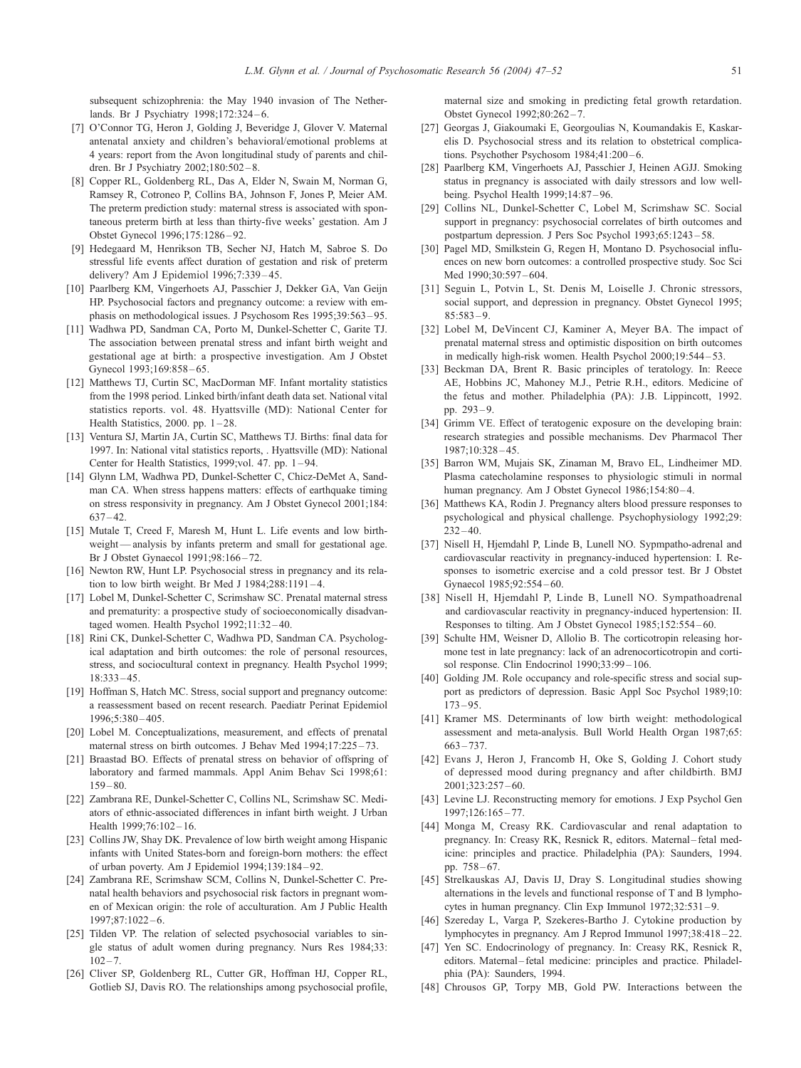subsequent schizophrenia: the May 1940 invasion of The Netherlands. Br J Psychiatry 1998;172:324-6.

- [7] O'Connor TG, Heron J, Golding J, Beveridge J, Glover V. Maternal antenatal anxiety and children's behavioral/emotional problems at 4 years: report from the Avon longitudinal study of parents and children. Br J Psychiatry 2002;180:502-8.
- [8] Copper RL, Goldenberg RL, Das A, Elder N, Swain M, Norman G, Ramsey R, Cotroneo P, Collins BA, Johnson F, Jones P, Meier AM. The preterm prediction study: maternal stress is associated with spontaneous preterm birth at less than thirty-five weeks' gestation. Am J Obstet Gynecol 1996;175:1286 – 92.
- [9] Hedegaard M, Henrikson TB, Secher NJ, Hatch M, Sabroe S. Do stressful life events affect duration of gestation and risk of preterm delivery? Am J Epidemiol 1996;7:339 – 45.
- [10] Paarlberg KM, Vingerhoets AJ, Passchier J, Dekker GA, Van Geijn HP. Psychosocial factors and pregnancy outcome: a review with emphasis on methodological issues. J Psychosom Res 1995;39:563 – 95.
- [11] Wadhwa PD, Sandman CA, Porto M, Dunkel-Schetter C, Garite TJ. The association between prenatal stress and infant birth weight and gestational age at birth: a prospective investigation. Am J Obstet Gynecol 1993;169:858-65.
- [12] Matthews TJ, Curtin SC, MacDorman MF. Infant mortality statistics from the 1998 period. Linked birth/infant death data set. National vital statistics reports. vol. 48. Hyattsville (MD): National Center for Health Statistics, 2000. pp.  $1-28$ .
- [13] Ventura SJ, Martin JA, Curtin SC, Matthews TJ. Births: final data for 1997. In: National vital statistics reports, . Hyattsville (MD): National Center for Health Statistics, 1999;vol. 47. pp. 1-94.
- [14] Glynn LM, Wadhwa PD, Dunkel-Schetter C, Chicz-DeMet A, Sandman CA. When stress happens matters: effects of earthquake timing on stress responsivity in pregnancy. Am J Obstet Gynecol 2001;184:  $637 - 42.$
- [15] Mutale T, Creed F, Maresh M, Hunt L. Life events and low birthweight— analysis by infants preterm and small for gestational age. Br J Obstet Gynaecol 1991;98:166 – 72.
- [16] Newton RW, Hunt LP. Psychosocial stress in pregnancy and its relation to low birth weight. Br Med J  $1984;288:1191-4$ .
- [17] Lobel M, Dunkel-Schetter C, Scrimshaw SC. Prenatal maternal stress and prematurity: a prospective study of socioeconomically disadvantaged women. Health Psychol 1992;11:32-40.
- [18] Rini CK, Dunkel-Schetter C, Wadhwa PD, Sandman CA. Psychological adaptation and birth outcomes: the role of personal resources, stress, and sociocultural context in pregnancy. Health Psychol 1999; 18:333 – 45.
- [19] Hoffman S, Hatch MC. Stress, social support and pregnancy outcome: a reassessment based on recent research. Paediatr Perinat Epidemiol 1996;5:380 – 405.
- [20] Lobel M. Conceptualizations, measurement, and effects of prenatal maternal stress on birth outcomes. J Behav Med 1994:17:225-73.
- [21] Braastad BO. Effects of prenatal stress on behavior of offspring of laboratory and farmed mammals. Appl Anim Behav Sci 1998;61:  $159 - 80.$
- [22] Zambrana RE, Dunkel-Schetter C, Collins NL, Scrimshaw SC. Mediators of ethnic-associated differences in infant birth weight. J Urban Health 1999;76:102-16.
- [23] Collins JW, Shay DK. Prevalence of low birth weight among Hispanic infants with United States-born and foreign-born mothers: the effect of urban poverty. Am J Epidemiol 1994;139:184 – 92.
- [24] Zambrana RE, Scrimshaw SCM, Collins N, Dunkel-Schetter C. Prenatal health behaviors and psychosocial risk factors in pregnant women of Mexican origin: the role of acculturation. Am J Public Health  $1997:87:1022 - 6.$
- [25] Tilden VP. The relation of selected psychosocial variables to single status of adult women during pregnancy. Nurs Res 1984;33:  $102 - 7.$
- [26] Cliver SP, Goldenberg RL, Cutter GR, Hoffman HJ, Copper RL, Gotlieb SJ, Davis RO. The relationships among psychosocial profile,

maternal size and smoking in predicting fetal growth retardation. Obstet Gynecol 1992;80:262 – 7.

- [27] Georgas J, Giakoumaki E, Georgoulias N, Koumandakis E, Kaskarelis D. Psychosocial stress and its relation to obstetrical complications. Psychother Psychosom 1984;41:200-6.
- [28] Paarlberg KM, Vingerhoets AJ, Passchier J, Heinen AGJJ. Smoking status in pregnancy is associated with daily stressors and low wellbeing. Psychol Health 1999;14:87 – 96.
- [29] Collins NL, Dunkel-Schetter C, Lobel M, Scrimshaw SC. Social support in pregnancy: psychosocial correlates of birth outcomes and postpartum depression. J Pers Soc Psychol 1993;65:1243 – 58.
- [30] Pagel MD, Smilkstein G, Regen H, Montano D. Psychosocial influences on new born outcomes: a controlled prospective study. Soc Sci Med 1990;30:597-604.
- [31] Seguin L, Potvin L, St. Denis M, Loiselle J. Chronic stressors, social support, and depression in pregnancy. Obstet Gynecol 1995; 85:583 – 9.
- [32] Lobel M, DeVincent CJ, Kaminer A, Meyer BA. The impact of prenatal maternal stress and optimistic disposition on birth outcomes in medically high-risk women. Health Psychol 2000;19:544 – 53.
- [33] Beckman DA, Brent R. Basic principles of teratology. In: Reece AE, Hobbins JC, Mahoney M.J., Petrie R.H., editors. Medicine of the fetus and mother. Philadelphia (PA): J.B. Lippincott, 1992. pp. 293 – 9.
- [34] Grimm VE. Effect of teratogenic exposure on the developing brain: research strategies and possible mechanisms. Dev Pharmacol Ther 1987;10:328 – 45.
- [35] Barron WM, Mujais SK, Zinaman M, Bravo EL, Lindheimer MD. Plasma catecholamine responses to physiologic stimuli in normal human pregnancy. Am J Obstet Gynecol 1986;154:80-4.
- [36] Matthews KA, Rodin J. Pregnancy alters blood pressure responses to psychological and physical challenge. Psychophysiology 1992;29:  $232 - 40.$
- [37] Nisell H, Hjemdahl P, Linde B, Lunell NO. Sypmpatho-adrenal and cardiovascular reactivity in pregnancy-induced hypertension: I. Responses to isometric exercise and a cold pressor test. Br J Obstet Gynaecol 1985;92:554 – 60.
- [38] Nisell H, Hjemdahl P, Linde B, Lunell NO. Sympathoadrenal and cardiovascular reactivity in pregnancy-induced hypertension: II. Responses to tilting. Am J Obstet Gynecol 1985;152:554 – 60.
- [39] Schulte HM, Weisner D, Allolio B. The corticotropin releasing hormone test in late pregnancy: lack of an adrenocorticotropin and cortisol response. Clin Endocrinol 1990;33:99 – 106.
- [40] Golding JM. Role occupancy and role-specific stress and social support as predictors of depression. Basic Appl Soc Psychol 1989;10:  $173 - 95.$
- [41] Kramer MS. Determinants of low birth weight: methodological assessment and meta-analysis. Bull World Health Organ 1987;65: 663 – 737.
- [42] Evans J, Heron J, Francomb H, Oke S, Golding J. Cohort study of depressed mood during pregnancy and after childbirth. BMJ 2001;323:257 – 60.
- [43] Levine LJ. Reconstructing memory for emotions. J Exp Psychol Gen 1997;126:165 – 77.
- [44] Monga M, Creasy RK. Cardiovascular and renal adaptation to pregnancy. In: Creasy RK, Resnick R, editors. Maternal – fetal medicine: principles and practice. Philadelphia (PA): Saunders, 1994. pp. 758 – 67.
- [45] Strelkauskas AJ, Davis IJ, Dray S. Longitudinal studies showing alternations in the levels and functional response of T and B lymphocytes in human pregnancy. Clin Exp Immunol 1972;32:531 – 9.
- [46] Szereday L, Varga P, Szekeres-Bartho J. Cytokine production by lymphocytes in pregnancy. Am J Reprod Immunol 1997;38:418 – 22.
- [47] Yen SC. Endocrinology of pregnancy. In: Creasy RK, Resnick R, editors. Maternal-fetal medicine: principles and practice. Philadelphia (PA): Saunders, 1994.
- [48] Chrousos GP, Torpy MB, Gold PW. Interactions between the